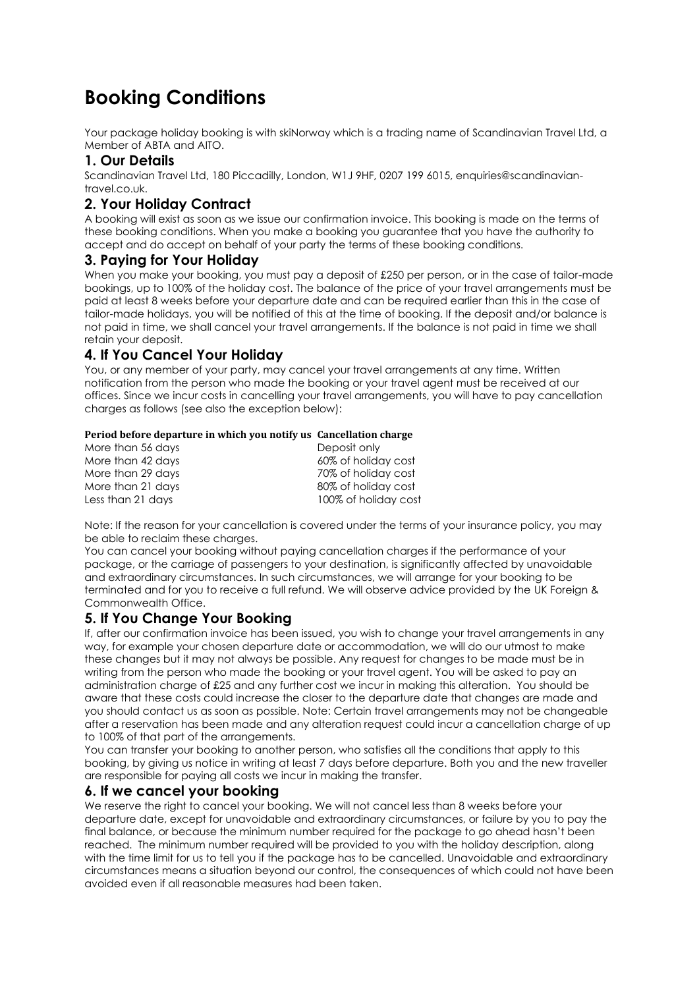# **Booking Conditions**

Your package holiday booking is with skiNorway which is a trading name of Scandinavian Travel Ltd, a Member of [ABTA](http://abta.com/) and [AITO.](http://www.aito.com/)

## **1. Our Details**

Scandinavian Travel Ltd, 180 Piccadilly, London, W1J 9HF, 0207 199 6015, enquiries@scandinaviantravel.co.uk.

# **2. Your Holiday Contract**

A booking will exist as soon as we issue our confirmation invoice. This booking is made on the terms of these booking conditions. When you make a booking you guarantee that you have the authority to accept and do accept on behalf of your party the terms of these booking conditions.

## **3. Paying for Your Holiday**

When you make your booking, you must pay a deposit of £250 per person, or in the case of tailor-made bookings, up to 100% of the holiday cost. The balance of the price of your travel arrangements must be paid at least 8 weeks before your departure date and can be required earlier than this in the case of tailor-made holidays, you will be notified of this at the time of booking. If the deposit and/or balance is not paid in time, we shall cancel your travel arrangements. If the balance is not paid in time we shall retain your deposit.

# **4. If You Cancel Your Holiday**

You, or any member of your party, may cancel your travel arrangements at any time. Written notification from the person who made the booking or your travel agent must be received at our offices. Since we incur costs in cancelling your travel arrangements, you will have to pay cancellation charges as follows (see also the exception below):

#### **Period before departure in which you notify us Cancellation charge**

| More than 56 days | Deposit only         |
|-------------------|----------------------|
| More than 42 days | 60% of holiday cost  |
| More than 29 days | 70% of holiday cost  |
| More than 21 days | 80% of holiday cost  |
| Less than 21 days | 100% of holiday cost |
|                   |                      |

Note: If the reason for your cancellation is covered under the terms of your insurance policy, you may be able to reclaim these charges.

You can cancel your booking without paying cancellation charges if the performance of your package, or the carriage of passengers to your destination, is significantly affected by unavoidable and extraordinary circumstances. In such circumstances, we will arrange for your booking to be terminated and for you to receive a full refund. We will observe advice provided by the UK Foreign & Commonwealth Office.

## **5. If You Change Your Booking**

If, after our confirmation invoice has been issued, you wish to change your travel arrangements in any way, for example your chosen departure date or accommodation, we will do our utmost to make these changes but it may not always be possible. Any request for changes to be made must be in writing from the person who made the booking or your travel agent. You will be asked to pay an administration charge of £25 and any further cost we incur in making this alteration. You should be aware that these costs could increase the closer to the departure date that changes are made and you should contact us as soon as possible. Note: Certain travel arrangements may not be changeable after a reservation has been made and any alteration request could incur a cancellation charge of up to 100% of that part of the arrangements.

You can transfer your booking to another person, who satisfies all the conditions that apply to this booking, by giving us notice in writing at least 7 days before departure. Both you and the new traveller are responsible for paying all costs we incur in making the transfer.

## **6. If we cancel your booking**

We reserve the right to cancel your booking. We will not cancel less than 8 weeks before your departure date, except for unavoidable and extraordinary circumstances, or failure by you to pay the final balance, or because the minimum number required for the package to go ahead hasn't been reached. The minimum number required will be provided to you with the holiday description, along with the time limit for us to tell you if the package has to be cancelled. Unavoidable and extraordinary circumstances means a situation beyond our control, the consequences of which could not have been avoided even if all reasonable measures had been taken.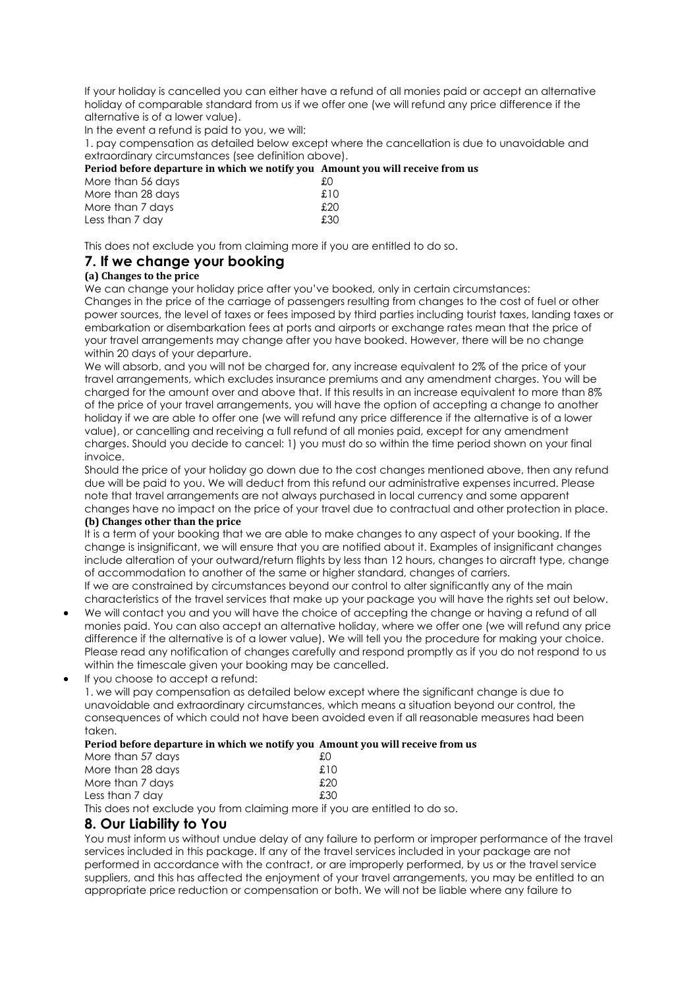If your holiday is cancelled you can either have a refund of all monies paid or accept an alternative holiday of comparable standard from us if we offer one (we will refund any price difference if the alternative is of a lower value).

In the event a refund is paid to you, we will:

1. pay compensation as detailed below except where the cancellation is due to unavoidable and extraordinary circumstances (see definition above).

#### **Period before departure in which we notify you Amount you will receive from us**

| More than 56 days | £0  |
|-------------------|-----|
| More than 28 days | £10 |
| More than 7 days  | £20 |
| Less than 7 day   | £30 |

This does not exclude you from claiming more if you are entitled to do so.

#### **7. If we change your booking**

#### **(a) Changes to the price**

We can change your holiday price after you've booked, only in certain circumstances: Changes in the price of the carriage of passengers resulting from changes to the cost of fuel or other power sources, the level of taxes or fees imposed by third parties including tourist taxes, landing taxes or embarkation or disembarkation fees at ports and airports or exchange rates mean that the price of your travel arrangements may change after you have booked. However, there will be no change within 20 days of your departure.

We will absorb, and you will not be charged for, any increase equivalent to 2% of the price of your travel arrangements, which excludes insurance premiums and any amendment charges. You will be charged for the amount over and above that. If this results in an increase equivalent to more than 8% of the price of your travel arrangements, you will have the option of accepting a change to another holiday if we are able to offer one (we will refund any price difference if the alternative is of a lower value), or cancelling and receiving a full refund of all monies paid, except for any amendment charges. Should you decide to cancel: 1) you must do so within the time period shown on your final invoice.

Should the price of your holiday go down due to the cost changes mentioned above, then any refund due will be paid to you. We will deduct from this refund our administrative expenses incurred. Please note that travel arrangements are not always purchased in local currency and some apparent changes have no impact on the price of your travel due to contractual and other protection in place.

## **(b) Changes other than the price**

It is a term of your booking that we are able to make changes to any aspect of your booking. If the change is insignificant, we will ensure that you are notified about it. Examples of insignificant changes include alteration of your outward/return flights by less than 12 hours, changes to aircraft type, change of accommodation to another of the same or higher standard, changes of carriers. If we are constrained by circumstances beyond our control to alter significantly any of the main

characteristics of the travel services that make up your package you will have the rights set out below.

- We will contact you and you will have the choice of accepting the change or having a refund of all monies paid. You can also accept an alternative holiday, where we offer one (we will refund any price difference if the alternative is of a lower value). We will tell you the procedure for making your choice. Please read any notification of changes carefully and respond promptly as if you do not respond to us within the timescale given your booking may be cancelled.
- If you choose to accept a refund:

1. we will pay compensation as detailed below except where the significant change is due to unavoidable and extraordinary circumstances, which means a situation beyond our control, the consequences of which could not have been avoided even if all reasonable measures had been taken.

#### **Period before departure in which we notify you Amount you will receive from us**

| More than 57 days | £O  |
|-------------------|-----|
| More than 28 days | £10 |
| More than 7 days  | £20 |
| Less than 7 day   | £30 |
|                   |     |

This does not exclude you from claiming more if you are entitled to do so.

## **8. Our Liability to You**

You must inform us without undue delay of any failure to perform or improper performance of the travel services included in this package. If any of the travel services included in your package are not performed in accordance with the contract, or are improperly performed, by us or the travel service suppliers, and this has affected the enjoyment of your travel arrangements, you may be entitled to an appropriate price reduction or compensation or both. We will not be liable where any failure to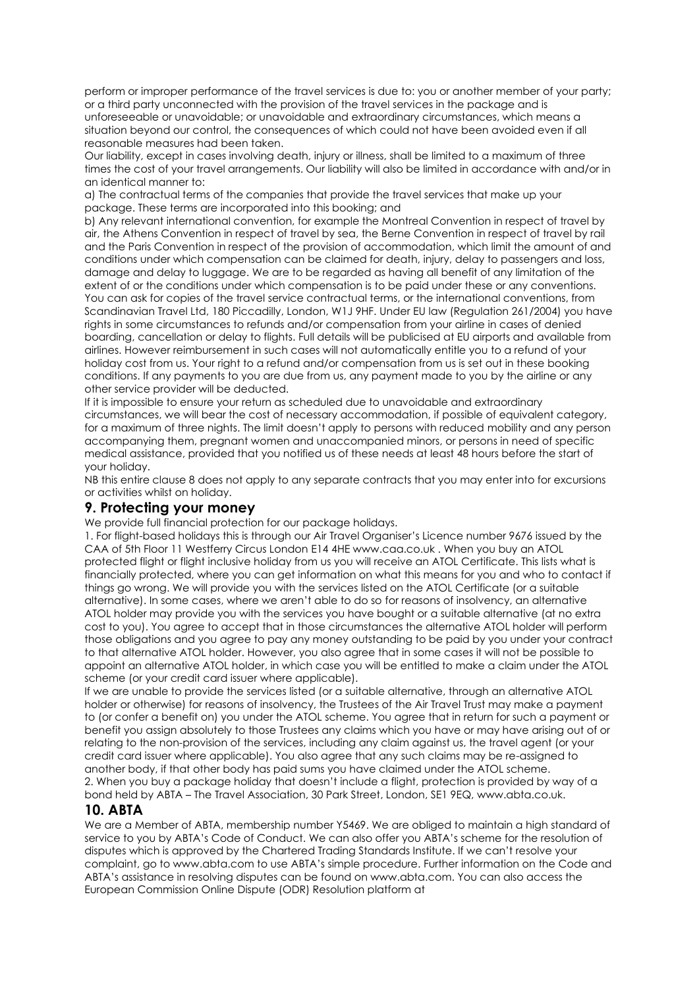perform or improper performance of the travel services is due to: you or another member of your party; or a third party unconnected with the provision of the travel services in the package and is unforeseeable or unavoidable; or unavoidable and extraordinary circumstances, which means a situation beyond our control, the consequences of which could not have been avoided even if all reasonable measures had been taken.

Our liability, except in cases involving death, injury or illness, shall be limited to a maximum of three times the cost of your travel arrangements. Our liability will also be limited in accordance with and/or in an identical manner to:

a) The contractual terms of the companies that provide the travel services that make up your package. These terms are incorporated into this booking; and

b) Any relevant international convention, for example the Montreal Convention in respect of travel by air, the Athens Convention in respect of travel by sea, the Berne Convention in respect of travel by rail and the Paris Convention in respect of the provision of accommodation, which limit the amount of and conditions under which compensation can be claimed for death, injury, delay to passengers and loss, damage and delay to luggage. We are to be regarded as having all benefit of any limitation of the extent of or the conditions under which compensation is to be paid under these or any conventions. You can ask for copies of the travel service contractual terms, or the international conventions, from Scandinavian Travel Ltd, 180 Piccadilly, London, W1J 9HF. Under EU law (Regulation 261/2004) you have rights in some circumstances to refunds and/or compensation from your airline in cases of denied boarding, cancellation or delay to flights. Full details will be publicised at EU airports and available from airlines. However reimbursement in such cases will not automatically entitle you to a refund of your holiday cost from us. Your right to a refund and/or compensation from us is set out in these booking conditions. If any payments to you are due from us, any payment made to you by the airline or any other service provider will be deducted.

If it is impossible to ensure your return as scheduled due to unavoidable and extraordinary circumstances, we will bear the cost of necessary accommodation, if possible of equivalent category, for a maximum of three nights. The limit doesn't apply to persons with reduced mobility and any person accompanying them, pregnant women and unaccompanied minors, or persons in need of specific medical assistance, provided that you notified us of these needs at least 48 hours before the start of your holiday.

NB this entire clause 8 does not apply to any separate contracts that you may enter into for excursions or activities whilst on holiday.

## **9. Protecting your money**

We provide full financial protection for our package holidays.

1. For flight-based holidays this is through our Air Travel Organiser's Licence number 9676 issued by the CAA of 5th Floor 11 Westferry Circus London E14 4HE www.caa.co.uk . When you buy an ATOL protected flight or flight inclusive holiday from us you will receive an ATOL Certificate. This lists what is financially protected, where you can get information on what this means for you and who to contact if things go wrong. We will provide you with the services listed on the ATOL Certificate (or a suitable alternative). In some cases, where we aren't able to do so for reasons of insolvency, an alternative ATOL holder may provide you with the services you have bought or a suitable alternative (at no extra cost to you). You agree to accept that in those circumstances the alternative ATOL holder will perform those obligations and you agree to pay any money outstanding to be paid by you under your contract to that alternative ATOL holder. However, you also agree that in some cases it will not be possible to appoint an alternative ATOL holder, in which case you will be entitled to make a claim under the ATOL scheme (or your credit card issuer where applicable).

If we are unable to provide the services listed (or a suitable alternative, through an alternative ATOL holder or otherwise) for reasons of insolvency, the Trustees of the Air Travel Trust may make a payment to (or confer a benefit on) you under the ATOL scheme. You agree that in return for such a payment or benefit you assign absolutely to those Trustees any claims which you have or may have arising out of or relating to the non-provision of the services, including any claim against us, the travel agent (or your credit card issuer where applicable). You also agree that any such claims may be re-assigned to another body, if that other body has paid sums you have claimed under the ATOL scheme. 2. When you buy a package holiday that doesn't include a flight, protection is provided by way of a bond held by ABTA – The Travel Association, 30 Park Street, London, SE1 9EQ, www.abta.co.uk.

## **10. ABTA**

We are a Member of ABTA, membership number Y5469. We are obliged to maintain a high standard of service to you by ABTA's Code of Conduct. We can also offer you ABTA's scheme for the resolution of disputes which is approved by the Chartered Trading Standards Institute. If we can't resolve your complaint, go to www.abta.com to use ABTA's simple procedure. Further information on the Code and ABTA's assistance in resolving disputes can be found on www.abta.com. You can also access the European Commission Online Dispute (ODR) Resolution platform at